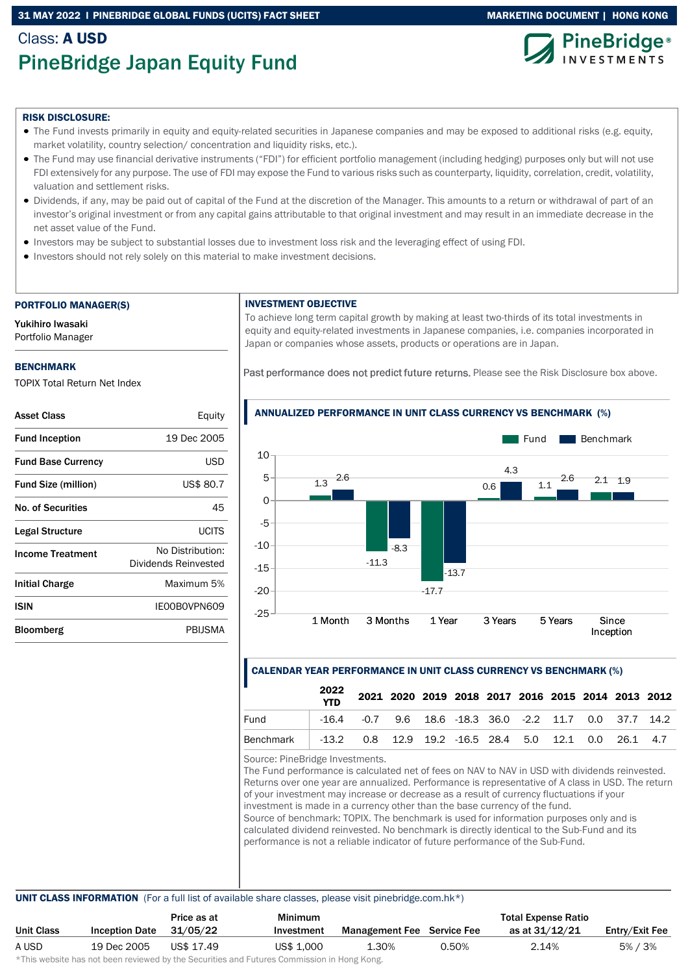## 31 MAY 2022 I PINEBRIDGE GLOBAL FUNDS (UCITS) FACT SHEET MARKETING DOCUMENT | HONG KONG

# Class: A USD PineBridge Japan Equity Fund



#### RISK DISCLOSURE:

- The Fund invests primarily in equity and equity-related securities in Japanese companies and may be exposed to additional risks (e.g. equity, market volatility, country selection/ concentration and liquidity risks, etc.).
- The Fund may use financial derivative instruments ("FDI") for efficient portfolio management (including hedging) purposes only but will not use FDI extensively for any purpose. The use of FDI may expose the Fund to various risks such as counterparty, liquidity, correlation, credit, volatility, valuation and settlement risks.
- Dividends, if any, may be paid out of capital of the Fund at the discretion of the Manager. This amounts to a return or withdrawal of part of an investor's original investment or from any capital gains attributable to that original investment and may result in an immediate decrease in the net asset value of the Fund.
- Investors may be subject to substantial losses due to investment loss risk and the leveraging effect of using FDI.
- Investors should not rely solely on this material to make investment decisions.

#### PORTFOLIO MANAGER(S)

Yukihiro Iwasaki Portfolio Manager

#### BENCHMARK

TOPIX Total Return Net Index

| <b>Asset Class</b>         | Equity                                   |
|----------------------------|------------------------------------------|
| <b>Fund Inception</b>      | 19 Dec 2005                              |
| <b>Fund Base Currency</b>  | USD                                      |
| <b>Fund Size (million)</b> | US\$ 80.7                                |
| No. of Securities          | 45                                       |
| Legal Structure            | UCITS                                    |
| <b>Income Treatment</b>    | No Distribution:<br>Dividends Reinvested |
| <b>Initial Charge</b>      | Maximum 5%                               |
| ISIN                       | IE00B0VPN609                             |
| Bloomberg                  | PBIJSMA                                  |

#### INVESTMENT OBJECTIVE

To achieve long term capital growth by making at least two-thirds of its total investments in equity and equity-related investments in Japanese companies, i.e. companies incorporated in Japan or companies whose assets, products or operations are in Japan.

Past performance does not predict future returns. Please see the Risk Disclosure box above.



# ANNUALIZED PERFORMANCE IN UNIT CLASS CURRENCY VS BENCHMARK (%)

## CALENDAR YEAR PERFORMANCE IN UNIT CLASS CURRENCY VS BENCHMARK (%)

|                                                                  | 2022<br><b>YTD</b> |                                                                |  | 2021 2020 2019 2018 2017 2016 2015 2014 2013 2012 |  |  |  |
|------------------------------------------------------------------|--------------------|----------------------------------------------------------------|--|---------------------------------------------------|--|--|--|
| Fund                                                             |                    | $-16.4$ $-0.7$ 9.6 18.6 $-18.3$ 36.0 $-2.2$ 11.7 0.0 37.7 14.2 |  |                                                   |  |  |  |
| Benchmark   -13.2 0.8 12.9 19.2 -16.5 28.4 5.0 12.1 0.0 26.1 4.7 |                    |                                                                |  |                                                   |  |  |  |

Source: PineBridge Investments.

The Fund performance is calculated net of fees on NAV to NAV in USD with dividends reinvested. Returns over one year are annualized. Performance is representative of A class in USD. The return of your investment may increase or decrease as a result of currency fluctuations if your investment is made in a currency other than the base currency of the fund. Source of benchmark: TOPIX. The benchmark is used for information purposes only and is calculated dividend reinvested. No benchmark is directly identical to the Sub-Fund and its performance is not a reliable indicator of future performance of the Sub-Fund.

#### UNIT CLASS INFORMATION (For a full list of available share classes, please visit pinebridge.com.hk\*)

|            |                       | Price as at | <b>Minimum</b> | <b>Total Expense Ratio</b>        |       |                |                |
|------------|-----------------------|-------------|----------------|-----------------------------------|-------|----------------|----------------|
| Unit Class | <b>Inception Date</b> | 31/05/22    | Investment     | <b>Management Fee</b> Service Fee |       | as at 31/12/21 | Entry/Exit Fee |
| A USD      | 19 Dec 2005           | US\$ 17.49  | US\$ 1,000     | 1.30%                             | 0.50% | 2.14%          | 5% / 3%        |

\*This website has not been reviewed by the Securities and Futures Commission in Hong Kong.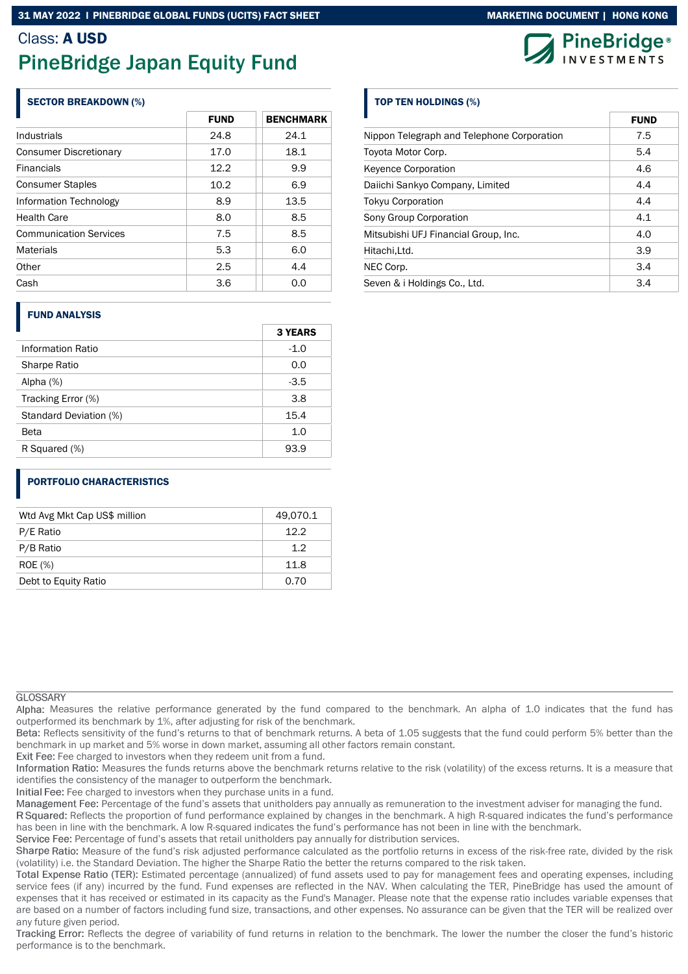## SECTOR BREAKDOWN (%)

|                               | <b>FUND</b> | <b>BENCHMARK</b> |  |  |  |
|-------------------------------|-------------|------------------|--|--|--|
| Industrials                   | 24.8        | 24.1             |  |  |  |
| <b>Consumer Discretionary</b> | 17.0        | 18.1             |  |  |  |
| <b>Financials</b>             | 12.2        | 9.9              |  |  |  |
| <b>Consumer Staples</b>       | 10.2        | 6.9              |  |  |  |
| Information Technology        | 8.9         | 13.5             |  |  |  |
| <b>Health Care</b>            | 8.0         | 8.5              |  |  |  |
| <b>Communication Services</b> | 7.5         | 8.5              |  |  |  |
| <b>Materials</b>              | 5.3         | 6.0              |  |  |  |
| Other                         | 2.5         | 4.4              |  |  |  |
| Cash                          | 3.6         | 0.0              |  |  |  |
|                               |             |                  |  |  |  |

# FUND ANALYSIS

|                        | <b>3 YEARS</b> |
|------------------------|----------------|
| Information Ratio      | $-1.0$         |
| Sharpe Ratio           | 0.0            |
| Alpha $(%)$            | $-3.5$         |
| Tracking Error (%)     | 3.8            |
| Standard Deviation (%) | 15.4           |
| <b>Beta</b>            | 1.0            |
| R Squared (%)          | 93.9           |

# PORTFOLIO CHARACTERISTICS

| Wtd Avg Mkt Cap US\$ million | 49,070.1 |
|------------------------------|----------|
| P/E Ratio                    | 12.2     |
| P/B Ratio                    | 1.2      |
| <b>ROE</b> (%)               | 11.8     |
| Debt to Equity Ratio         | 0.70     |

# **GLOSSARY**

Alpha: Measures the relative performance generated by the fund compared to the benchmark. An alpha of 1.0 indicates that the fund has outperformed its benchmark by 1%, after adjusting for risk of the benchmark.

Beta: Reflects sensitivity of the fund's returns to that of benchmark returns. A beta of 1.05 suggests that the fund could perform 5% better than the benchmark in up market and 5% worse in down market, assuming all other factors remain constant.

Exit Fee: Fee charged to investors when they redeem unit from a fund.

Information Ratio: Measures the funds returns above the benchmark returns relative to the risk (volatility) of the excess returns. It is a measure that identifies the consistency of the manager to outperform the benchmark.

Initial Fee: Fee charged to investors when they purchase units in a fund.

Management Fee: Percentage of the fund's assets that unitholders pay annually as remuneration to the investment adviser for managing the fund.

R Squared: Reflects the proportion of fund performance explained by changes in the benchmark. A high R-squared indicates the fund's performance has been in line with the benchmark. A low R-squared indicates the fund's performance has not been in line with the benchmark.

Service Fee: Percentage of fund's assets that retail unitholders pay annually for distribution services.

Sharpe Ratio: Measure of the fund's risk adjusted performance calculated as the portfolio returns in excess of the risk-free rate, divided by the risk (volatility) i.e. the Standard Deviation. The higher the Sharpe Ratio the better the returns compared to the risk taken.

Total Expense Ratio (TER): Estimated percentage (annualized) of fund assets used to pay for management fees and operating expenses, including service fees (if any) incurred by the fund. Fund expenses are reflected in the NAV. When calculating the TER, PineBridge has used the amount of expenses that it has received or estimated in its capacity as the Fund's Manager. Please note that the expense ratio includes variable expenses that are based on a number of factors including fund size, transactions, and other expenses. No assurance can be given that the TER will be realized over any future given period.



# TOP TEN HOLDINGS (%)

|                                            | <b>FUND</b> |
|--------------------------------------------|-------------|
| Nippon Telegraph and Telephone Corporation | 7.5         |
| Toyota Motor Corp.                         | 5.4         |
| <b>Keyence Corporation</b>                 | 4.6         |
| Daiichi Sankyo Company, Limited            | 4.4         |
| <b>Tokyu Corporation</b>                   | 4.4         |
| Sony Group Corporation                     | 4.1         |
| Mitsubishi UFJ Financial Group, Inc.       | 4.0         |
| Hitachi, Ltd.                              | 3.9         |
| NEC Corp.                                  | 3.4         |
| Seven & i Holdings Co., Ltd.               | 3.4         |

Tracking Error: Reflects the degree of variability of fund returns in relation to the benchmark. The lower the number the closer the fund's historic performance is to the benchmark.